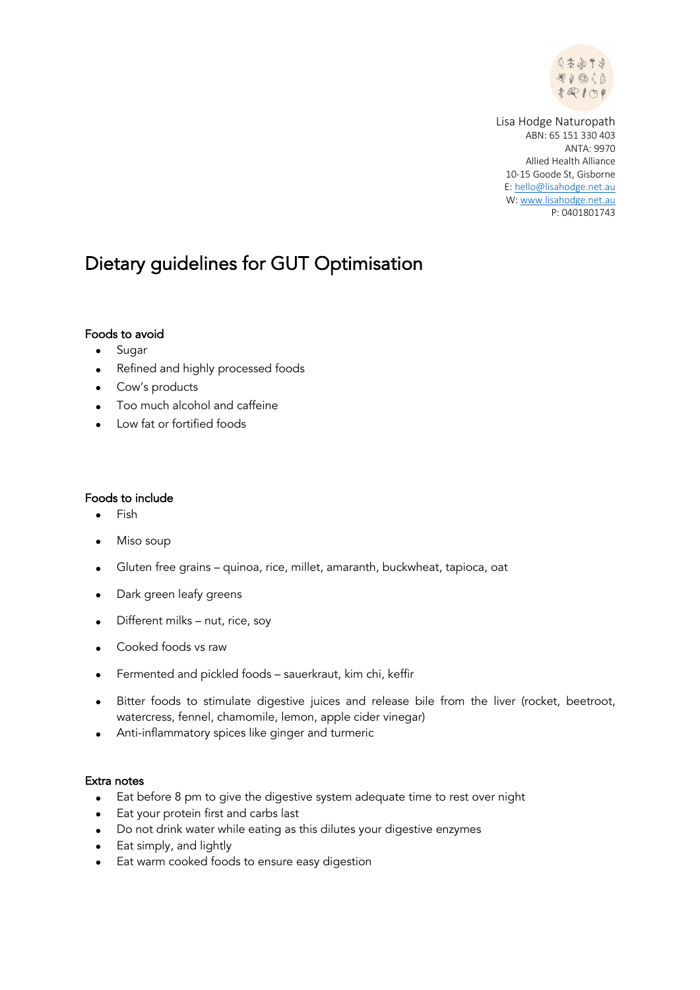

Lisa Hodge Naturopath ABN: 65 151 330 403 ANTA: 9970 Allied Health Alliance 10-15 Goode St, Gisborne E: hello@lisahodge.net.au W: www.lisahodge.net.au P: 0401801743

## Dietary guidelines for GUT Optimisation

## Foods to avoid

- Sugar
- Refined and highly processed foods
- Cow's products
- Too much alcohol and caffeine
- Low fat or fortified foods

## Foods to include

- Fish
- Miso soup
- Gluten free grains quinoa, rice, millet, amaranth, buckwheat, tapioca, oat
- Dark green leafy greens
- Different milks nut, rice, soy
- Cooked foods vs raw
- Fermented and pickled foods sauerkraut, kim chi, keffir
- Bitter foods to stimulate digestive juices and release bile from the liver (rocket, beetroot, watercress, fennel, chamomile, lemon, apple cider vinegar)
- Anti-inflammatory spices like ginger and turmeric

## Extra notes

- Eat before 8 pm to give the digestive system adequate time to rest over night
- Eat your protein first and carbs last
- Do not drink water while eating as this dilutes your digestive enzymes
- Eat simply, and lightly
- Eat warm cooked foods to ensure easy digestion